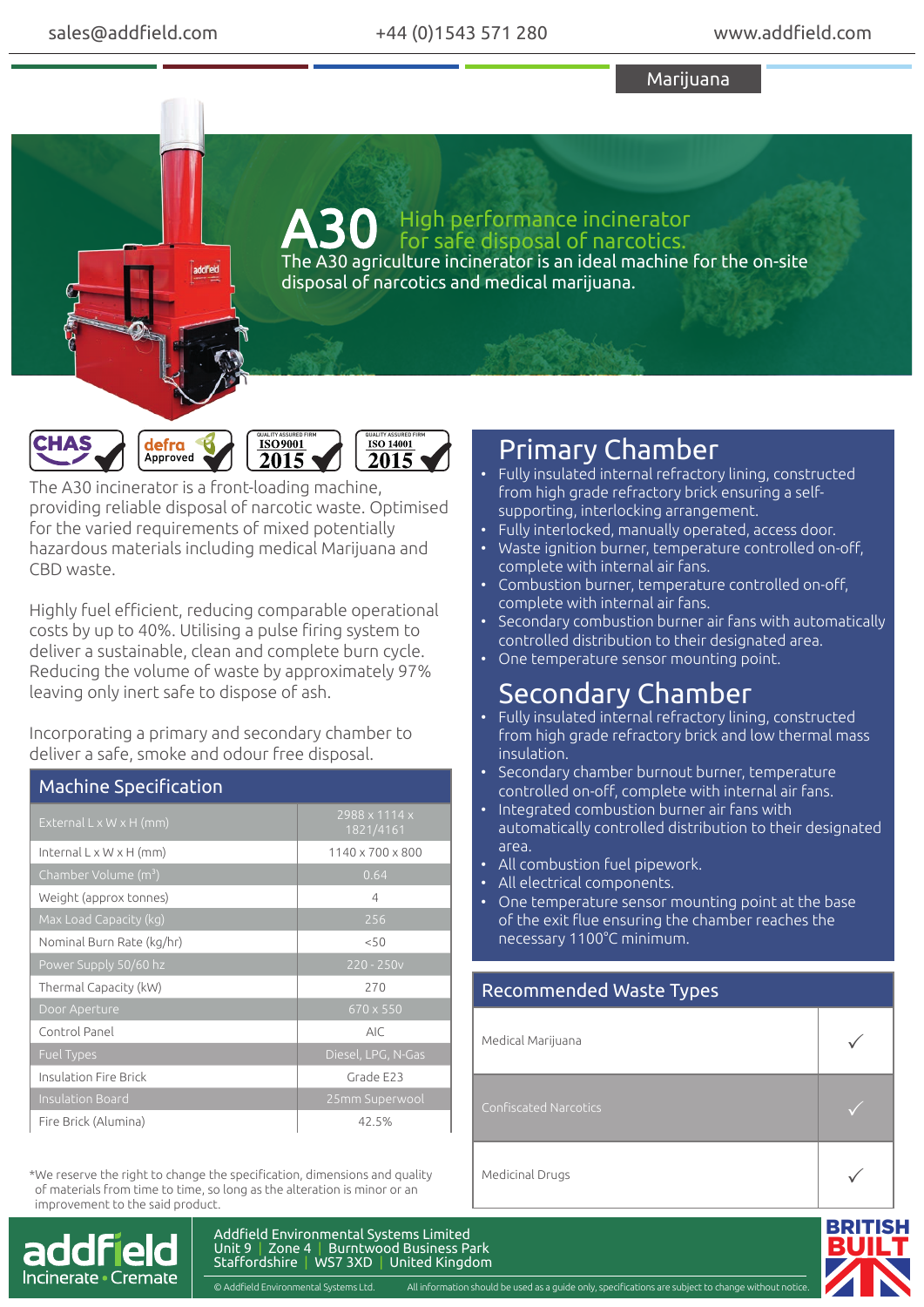Marijuana

The A30 agriculture incinerator is an ideal machine for the on-site disposal of narcotics and medical marijuana. A30 High performance incinerator for safe disposal of narcotics.



The A30 incinerator is a front-loading machine, providing reliable disposal of narcotic waste. Optimised for the varied requirements of mixed potentially hazardous materials including medical Marijuana and CBD waste.

Highly fuel efficient, reducing comparable operational costs by up to 40%. Utilising a pulse firing system to deliver a sustainable, clean and complete burn cycle. Reducing the volume of waste by approximately 97% leaving only inert safe to dispose of ash.

Incorporating a primary and secondary chamber to deliver a safe, smoke and odour free disposal.

| <b>Machine Specification</b>        |                                        |
|-------------------------------------|----------------------------------------|
| External $L \times W \times H$ (mm) | $2988 \times 1114 \times$<br>1821/4161 |
| Internal $L \times W \times H$ (mm) | 1140 x 700 x 800                       |
| Chamber Volume (m <sup>3</sup> )    | 0.64                                   |
| Weight (approx tonnes)              | 4                                      |
| Max Load Capacity (kg)              | 256                                    |
| Nominal Burn Rate (kg/hr)           | < 50                                   |
| Power Supply 50/60 hz               | $220 - 250v$                           |
| Thermal Capacity (kW)               | 270                                    |
| Door Aperture                       | 670 x 550                              |
| Control Panel                       | <b>AIC</b>                             |
| <b>Fuel Types</b>                   | Diesel, LPG, N-Gas                     |
| Insulation Fire Brick               | Grade E23                              |
| <b>Insulation Board</b>             | 25mm Superwool                         |
| Fire Brick (Alumina)                | 42.5%                                  |

\*We reserve the right to change the specification, dimensions and quality of materials from time to time, so long as the alteration is minor or an improvement to the said product.



## Primary Chamber

- Fully insulated internal refractory lining, constructed from high grade refractory brick ensuring a selfsupporting, interlocking arrangement.
- Fully interlocked, manually operated, access door.
- Waste ignition burner, temperature controlled on-off, complete with internal air fans.
- Combustion burner, temperature controlled on-off, complete with internal air fans.
- Secondary combustion burner air fans with automatically controlled distribution to their designated area.
- One temperature sensor mounting point.

# Secondary Chamber

- Fully insulated internal refractory lining, constructed from high grade refractory brick and low thermal mass insulation.
- Secondary chamber burnout burner, temperature controlled on-off, complete with internal air fans.
- Integrated combustion burner air fans with automatically controlled distribution to their designated area.
- All combustion fuel pipework.
- All electrical components.
- One temperature sensor mounting point at the base of the exit flue ensuring the chamber reaches the necessary 1100°C minimum.

#### Recommended Waste Types

| Medical Marijuana     |  |
|-----------------------|--|
| Confiscated Narcotics |  |
| Medicinal Drugs       |  |



Addfield Environmental Systems Limited Unit 9 | Zone 4 | Burntwood Business Park Staffordshire | WS7 3XD | United Kingdom

© Addfield Environmental Systems Ltd. All information should be used as a guide only, specifications are subject to change without notice.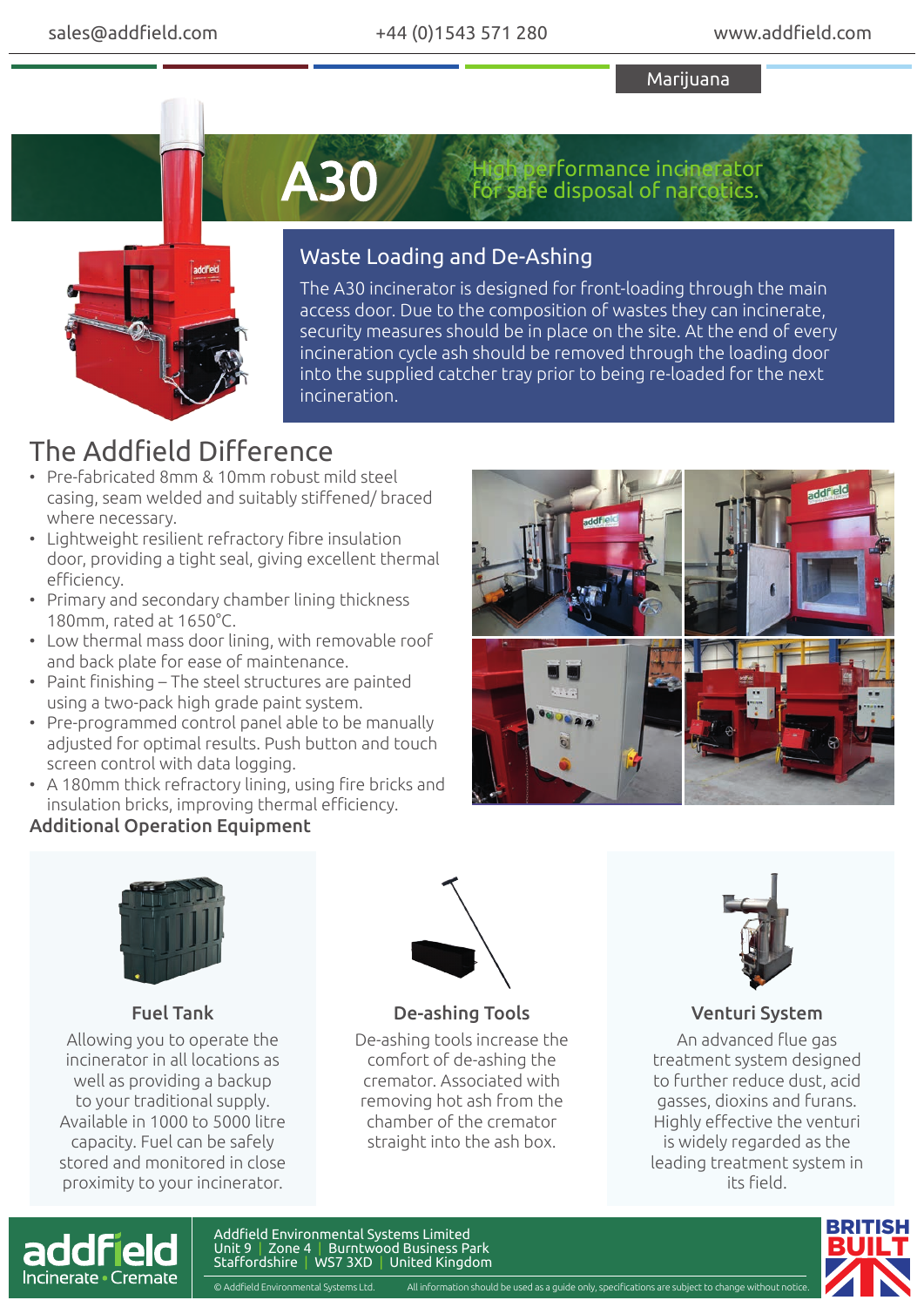Marijuana



A30

erformance incinerator safe disposal of narcotics.

### Waste Loading and De-Ashing

The A30 incinerator is designed for front-loading through the main access door. Due to the composition of wastes they can incinerate, security measures should be in place on the site. At the end of every incineration cycle ash should be removed through the loading door into the supplied catcher tray prior to being re-loaded for the next incineration.

## The Addfield Difference

- Pre-fabricated 8mm & 10mm robust mild steel casing, seam welded and suitably stiffened/ braced where necessary.
- Lightweight resilient refractory fibre insulation door, providing a tight seal, giving excellent thermal efficiency.
- Primary and secondary chamber lining thickness 180mm, rated at 1650°C.
- Low thermal mass door lining, with removable roof and back plate for ease of maintenance.
- Paint finishing The steel structures are painted using a two-pack high grade paint system.
- Pre-programmed control panel able to be manually adjusted for optimal results. Push button and touch screen control with data logging.
- A 180mm thick refractory lining, using fire bricks and insulation bricks, improving thermal efficiency.

### Additional Operation Equipment





### Fuel Tank

Allowing you to operate the incinerator in all locations as well as providing a backup to your traditional supply. Available in 1000 to 5000 litre capacity. Fuel can be safely stored and monitored in close proximity to your incinerator.



De-ashing Tools

De-ashing tools increase the comfort of de-ashing the cremator. Associated with removing hot ash from the chamber of the cremator straight into the ash box.



#### Venturi System

An advanced flue gas treatment system designed to further reduce dust, acid gasses, dioxins and furans. Highly effective the venturi is widely regarded as the leading treatment system in its field.



Addfield Environmental Systems Limited Unit 9 | Zone 4 | Burntwood Business Park Staffordshire | WS7 3XD | United Kingdom